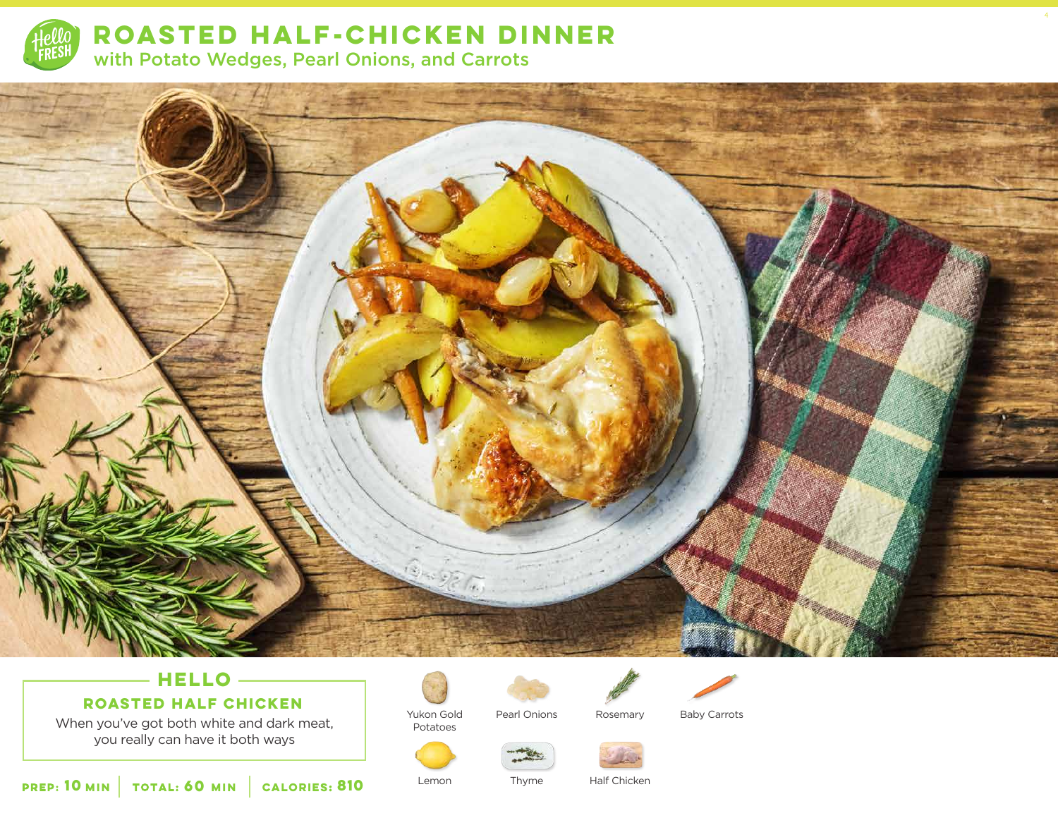

**ROASTED HALF-CHICKEN DINNER**  with Potato Wedges, Pearl Onions, and Carrots



# **HELLO**

## **ROASTED HALF CHICKEN**

When you've got both white and dark meat, you really can have it both ways



Potatoes

Lemon





Pearl Onions

Rosemary Baby Carrots

4

Thyme



 **10** MIN | TOTAL: **60** MIN | CALORIES: **CALORIES: 810** Lemon Thyme Half Chicken